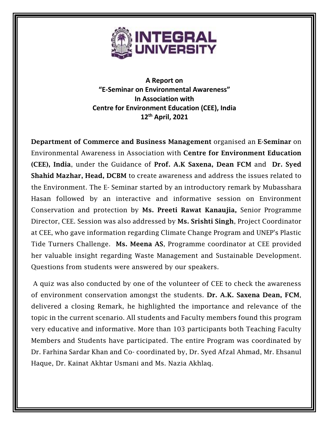

**A Report on "E-Seminar on Environmental Awareness" In Association with Centre for Environment Education (CEE), India 12th April, 2021**

Department of Commerce and Business Management organised an E-Seminar on Environmental Awareness in Association with Centre for Environment Education (CEE), India, under the Guidance of Prof. A.K Saxena, Dean FCM and Dr. Syed Shahid Mazhar, Head, DCBM to create awareness and address the issues related to the Environment. The E- Seminar started by an introductory remark by Mubasshara Hasan followed by an interactive and informative session on Environment Conservation and protection by Ms. Preeti Rawat Kanaujia, Senior Programme Director, CEE. Session was also addressed by Ms. Srishti Singh, Project Coordinator at CEE, who gave information regarding Climate Change Program and UNEP's Plastic Tide Turners Challenge. Ms. Meena AS, Programme coordinator at CEE provided her valuable insight regarding Waste Management and Sustainable Development. Questions from students were answered by our speakers.

A quiz was also conducted by one of the volunteer of CEE to check the awareness of environment conservation amongst the students. Dr. A.K. Saxena Dean, FCM, delivered a closing Remark, he highlighted the importance and relevance of the topic in the current scenario. All students and Faculty members found this program very educative and informative. More than 103 participants both Teaching Faculty Members and Students have participated. The entire Program was coordinated by Dr. Farhina Sardar Khan and Co- coordinated by, Dr. Syed Afzal Ahmad, Mr. Ehsanul Haque, Dr. Kainat Akhtar Usmani and Ms. Nazia Akhlaq.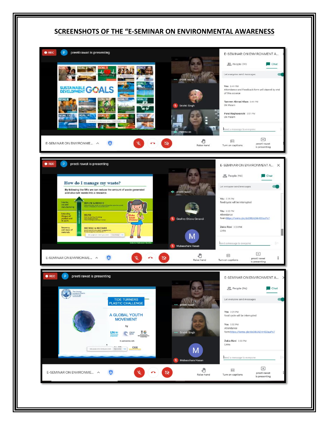